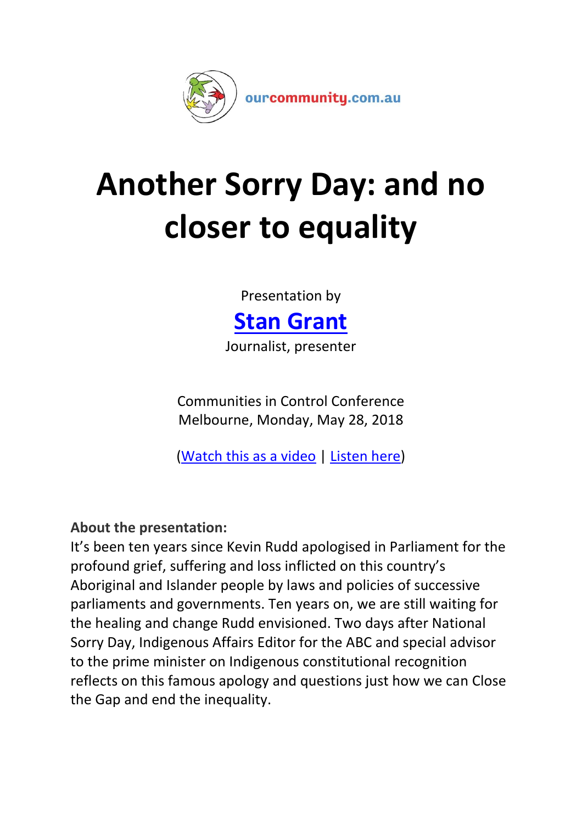

# **Another Sorry Day: and no closer to equality**

Presentation by



Journalist, presenter

Communities in Control Conference Melbourne, Monday, May 28, 2018

[\(Watch this as a video](https://www.youtube.com/3E2FgeAtwd8) | [Listen here\)](https://www.ourcommunity.com.au/files/cic/2018/audio/Grant_Stan_CIC_2018.mp3)

# **About the presentation:**

It's been ten years since Kevin Rudd apologised in Parliament for the profound grief, suffering and loss inflicted on this country's Aboriginal and Islander people by laws and policies of successive parliaments and governments. Ten years on, we are still waiting for the healing and change Rudd envisioned. Two days after National Sorry Day, Indigenous Affairs Editor for the ABC and special advisor to the prime minister on Indigenous constitutional recognition reflects on this famous apology and questions just how we can Close the Gap and end the inequality.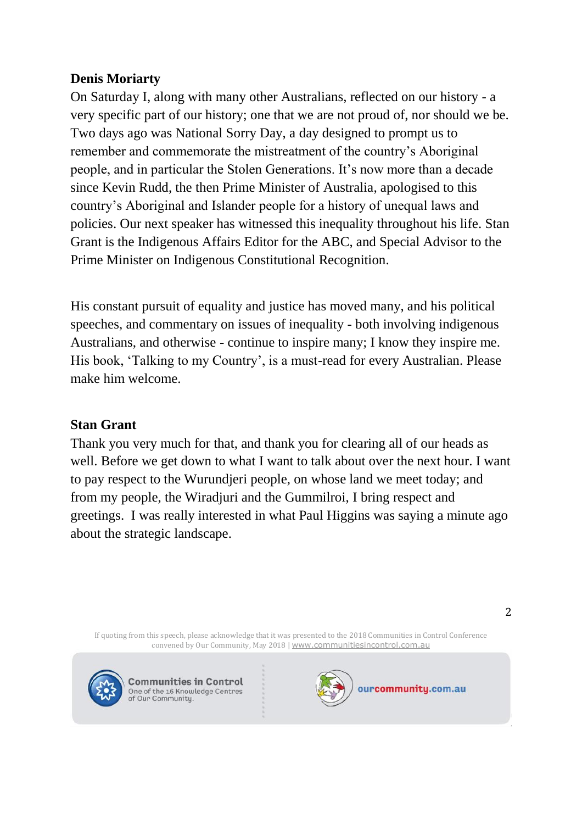# **Denis Moriarty**

On Saturday I, along with many other Australians, reflected on our history - a very specific part of our history; one that we are not proud of, nor should we be. Two days ago was National Sorry Day, a day designed to prompt us to remember and commemorate the mistreatment of the country's Aboriginal people, and in particular the Stolen Generations. It's now more than a decade since Kevin Rudd, the then Prime Minister of Australia, apologised to this country's Aboriginal and Islander people for a history of unequal laws and policies. Our next speaker has witnessed this inequality throughout his life. Stan Grant is the Indigenous Affairs Editor for the ABC, and Special Advisor to the Prime Minister on Indigenous Constitutional Recognition.

His constant pursuit of equality and justice has moved many, and his political speeches, and commentary on issues of inequality - both involving indigenous Australians, and otherwise - continue to inspire many; I know they inspire me. His book, 'Talking to my Country', is a must-read for every Australian. Please make him welcome.

# **Stan Grant**

Thank you very much for that, and thank you for clearing all of our heads as well. Before we get down to what I want to talk about over the next hour. I want to pay respect to the Wurundjeri people, on whose land we meet today; and from my people, the Wiradjuri and the Gummilroi, I bring respect and greetings. I was really interested in what Paul Higgins was saying a minute ago about the strategic landscape.

If quoting from this speech, please acknowledge that it was presented to the 2018 Communities in Control Conference convened by Our Community, May 2018 | [www.communitiesincontrol.com.au](https://www.communitiesincontrol.com.au/)



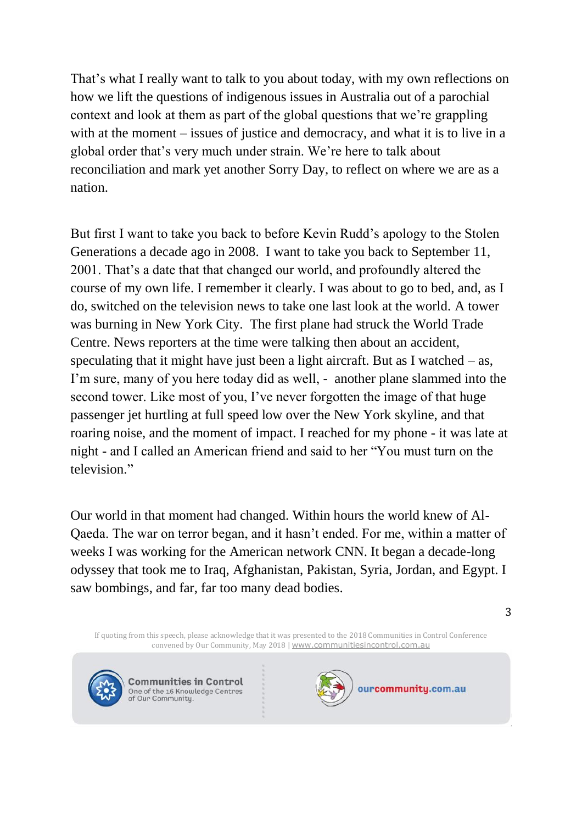That's what I really want to talk to you about today, with my own reflections on how we lift the questions of indigenous issues in Australia out of a parochial context and look at them as part of the global questions that we're grappling with at the moment – issues of justice and democracy, and what it is to live in a global order that's very much under strain. We're here to talk about reconciliation and mark yet another Sorry Day, to reflect on where we are as a nation.

But first I want to take you back to before Kevin Rudd's apology to the Stolen Generations a decade ago in 2008. I want to take you back to September 11, 2001. That's a date that that changed our world, and profoundly altered the course of my own life. I remember it clearly. I was about to go to bed, and, as I do, switched on the television news to take one last look at the world. A tower was burning in New York City. The first plane had struck the World Trade Centre. News reporters at the time were talking then about an accident, speculating that it might have just been a light aircraft. But as I watched  $-$  as, I'm sure, many of you here today did as well, - another plane slammed into the second tower. Like most of you, I've never forgotten the image of that huge passenger jet hurtling at full speed low over the New York skyline, and that roaring noise, and the moment of impact. I reached for my phone - it was late at night - and I called an American friend and said to her "You must turn on the television."

Our world in that moment had changed. Within hours the world knew of Al-Qaeda. The war on terror began, and it hasn't ended. For me, within a matter of weeks I was working for the American network CNN. It began a decade-long odyssey that took me to Iraq, Afghanistan, Pakistan, Syria, Jordan, and Egypt. I saw bombings, and far, far too many dead bodies.

If quoting from this speech, please acknowledge that it was presented to the 2018 Communities in Control Conference convened by Our Community, May 2018 | [www.communitiesincontrol.com.au](https://www.communitiesincontrol.com.au/)



**Communities in Control** One of the 16 Knowledge Centres<br>of Our Community.

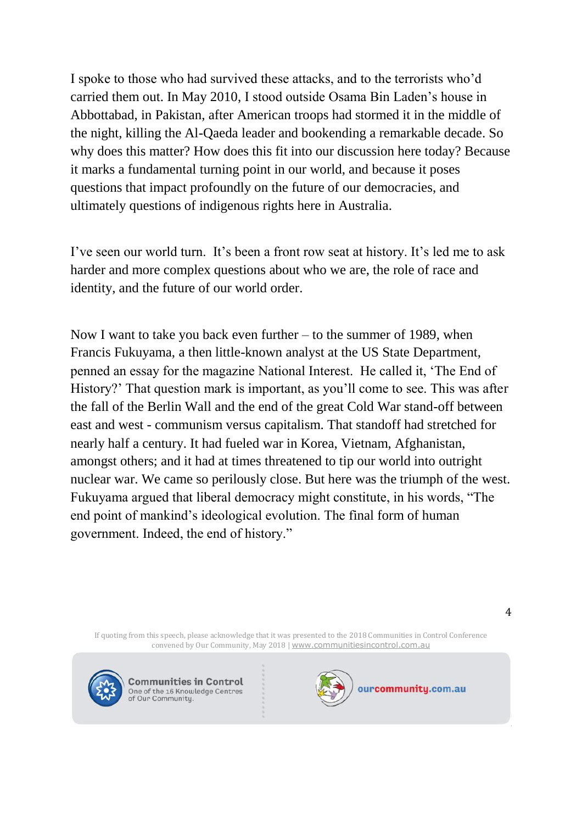I spoke to those who had survived these attacks, and to the terrorists who'd carried them out. In May 2010, I stood outside Osama Bin Laden's house in Abbottabad, in Pakistan, after American troops had stormed it in the middle of the night, killing the Al-Qaeda leader and bookending a remarkable decade. So why does this matter? How does this fit into our discussion here today? Because it marks a fundamental turning point in our world, and because it poses questions that impact profoundly on the future of our democracies, and ultimately questions of indigenous rights here in Australia.

I've seen our world turn. It's been a front row seat at history. It's led me to ask harder and more complex questions about who we are, the role of race and identity, and the future of our world order.

Now I want to take you back even further – to the summer of 1989, when Francis Fukuyama, a then little-known analyst at the US State Department, penned an essay for the magazine National Interest. He called it, 'The End of History?' That question mark is important, as you'll come to see. This was after the fall of the Berlin Wall and the end of the great Cold War stand-off between east and west - communism versus capitalism. That standoff had stretched for nearly half a century. It had fueled war in Korea, Vietnam, Afghanistan, amongst others; and it had at times threatened to tip our world into outright nuclear war. We came so perilously close. But here was the triumph of the west. Fukuyama argued that liberal democracy might constitute, in his words, "The end point of mankind's ideological evolution. The final form of human government. Indeed, the end of history."

If quoting from this speech, please acknowledge that it was presented to the 2018 Communities in Control Conference convened by Our Community, May 2018 | [www.communitiesincontrol.com.au](https://www.communitiesincontrol.com.au/)



**Communities in Control** One of the 16 Knowledge Centres<br>of Our Community.

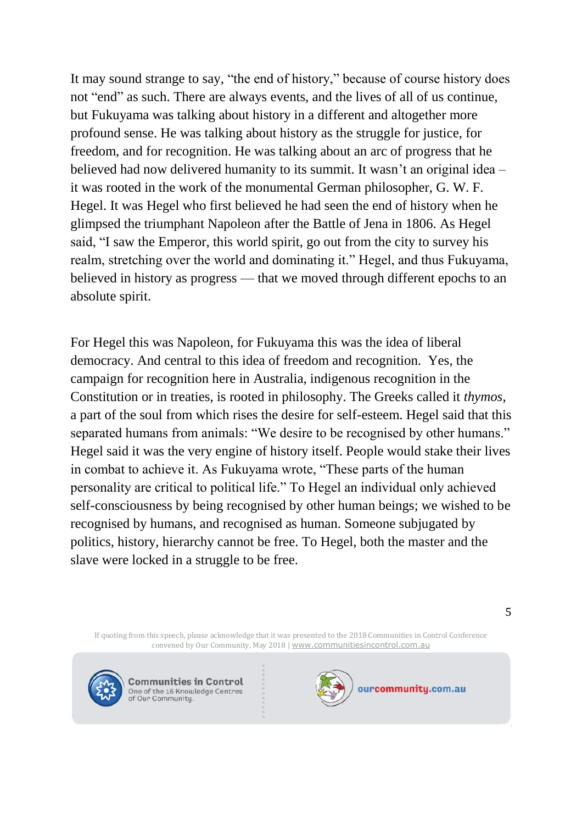It may sound strange to say, "the end of history," because of course history does not "end" as such. There are always events, and the lives of all of us continue, but Fukuyama was talking about history in a different and altogether more profound sense. He was talking about history as the struggle for justice, for freedom, and for recognition. He was talking about an arc of progress that he believed had now delivered humanity to its summit. It wasn't an original idea – it was rooted in the work of the monumental German philosopher, G. W. F. Hegel. It was Hegel who first believed he had seen the end of history when he glimpsed the triumphant Napoleon after the Battle of Jena in 1806. As Hegel said, "I saw the Emperor, this world spirit, go out from the city to survey his realm, stretching over the world and dominating it." Hegel, and thus Fukuyama, believed in history as progress — that we moved through different epochs to an absolute spirit.

For Hegel this was Napoleon, for Fukuyama this was the idea of liberal democracy. And central to this idea of freedom and recognition. Yes, the campaign for recognition here in Australia, indigenous recognition in the Constitution or in treaties, is rooted in philosophy. The Greeks called it *thymos*, a part of the soul from which rises the desire for self-esteem. Hegel said that this separated humans from animals: "We desire to be recognised by other humans." Hegel said it was the very engine of history itself. People would stake their lives in combat to achieve it. As Fukuyama wrote, "These parts of the human personality are critical to political life." To Hegel an individual only achieved self-consciousness by being recognised by other human beings; we wished to be recognised by humans, and recognised as human. Someone subjugated by politics, history, hierarchy cannot be free. To Hegel, both the master and the slave were locked in a struggle to be free.

If quoting from this speech, please acknowledge that it was presented to the 2018 Communities in Control Conference convened by Our Community, May 2018 | [www.communitiesincontrol.com.au](https://www.communitiesincontrol.com.au/)



**Communities in Control** One of the 16 Knowledge Centres<br>of Our Community.

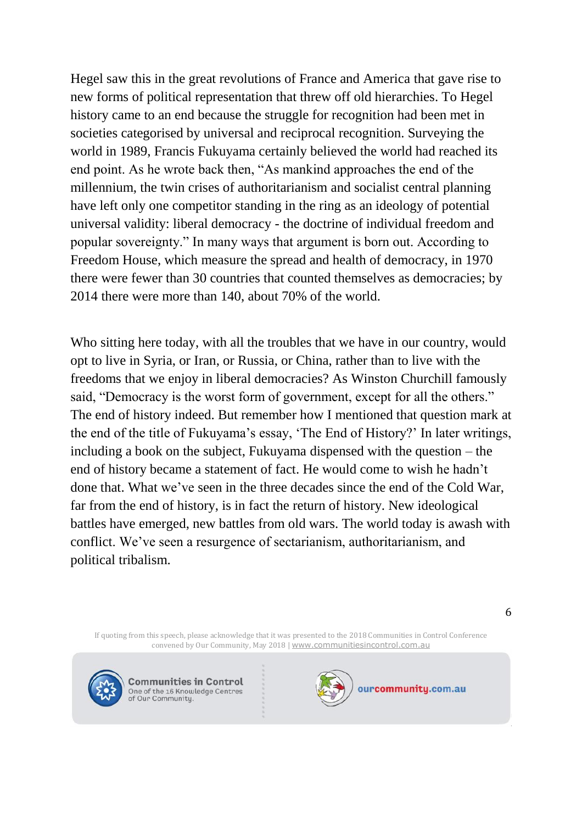Hegel saw this in the great revolutions of France and America that gave rise to new forms of political representation that threw off old hierarchies. To Hegel history came to an end because the struggle for recognition had been met in societies categorised by universal and reciprocal recognition. Surveying the world in 1989, Francis Fukuyama certainly believed the world had reached its end point. As he wrote back then, "As mankind approaches the end of the millennium, the twin crises of authoritarianism and socialist central planning have left only one competitor standing in the ring as an ideology of potential universal validity: liberal democracy - the doctrine of individual freedom and popular sovereignty." In many ways that argument is born out. According to Freedom House, which measure the spread and health of democracy, in 1970 there were fewer than 30 countries that counted themselves as democracies; by 2014 there were more than 140, about 70% of the world.

Who sitting here today, with all the troubles that we have in our country, would opt to live in Syria, or Iran, or Russia, or China, rather than to live with the freedoms that we enjoy in liberal democracies? As Winston Churchill famously said, "Democracy is the worst form of government, except for all the others." The end of history indeed. But remember how I mentioned that question mark at the end of the title of Fukuyama's essay, 'The End of History?' In later writings, including a book on the subject, Fukuyama dispensed with the question – the end of history became a statement of fact. He would come to wish he hadn't done that. What we've seen in the three decades since the end of the Cold War, far from the end of history, is in fact the return of history. New ideological battles have emerged, new battles from old wars. The world today is awash with conflict. We've seen a resurgence of sectarianism, authoritarianism, and political tribalism.

If quoting from this speech, please acknowledge that it was presented to the 2018 Communities in Control Conference convened by Our Community, May 2018 | [www.communitiesincontrol.com.au](https://www.communitiesincontrol.com.au/)



**Communities in Control** One of the 16 Knowledge Centres<br>of Our Community.

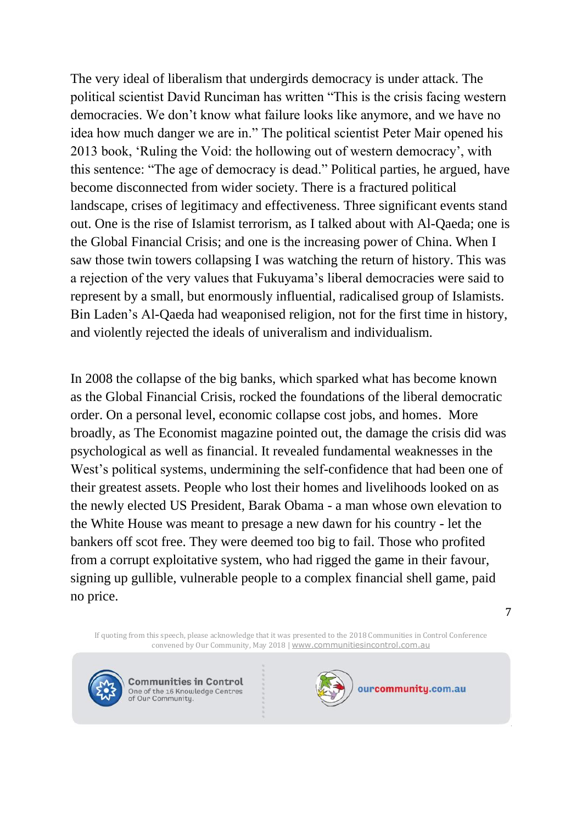The very ideal of liberalism that undergirds democracy is under attack. The political scientist David Runciman has written "This is the crisis facing western democracies. We don't know what failure looks like anymore, and we have no idea how much danger we are in." The political scientist Peter Mair opened his 2013 book, 'Ruling the Void: the hollowing out of western democracy', with this sentence: "The age of democracy is dead." Political parties, he argued, have become disconnected from wider society. There is a fractured political landscape, crises of legitimacy and effectiveness. Three significant events stand out. One is the rise of Islamist terrorism, as I talked about with Al-Qaeda; one is the Global Financial Crisis; and one is the increasing power of China. When I saw those twin towers collapsing I was watching the return of history. This was a rejection of the very values that Fukuyama's liberal democracies were said to represent by a small, but enormously influential, radicalised group of Islamists. Bin Laden's Al-Qaeda had weaponised religion, not for the first time in history, and violently rejected the ideals of univeralism and individualism.

In 2008 the collapse of the big banks, which sparked what has become known as the Global Financial Crisis, rocked the foundations of the liberal democratic order. On a personal level, economic collapse cost jobs, and homes. More broadly, as The Economist magazine pointed out, the damage the crisis did was psychological as well as financial. It revealed fundamental weaknesses in the West's political systems, undermining the self-confidence that had been one of their greatest assets. People who lost their homes and livelihoods looked on as the newly elected US President, Barak Obama - a man whose own elevation to the White House was meant to presage a new dawn for his country - let the bankers off scot free. They were deemed too big to fail. Those who profited from a corrupt exploitative system, who had rigged the game in their favour, signing up gullible, vulnerable people to a complex financial shell game, paid no price.

If quoting from this speech, please acknowledge that it was presented to the 2018 Communities in Control Conference convened by Our Community, May 2018 | [www.communitiesincontrol.com.au](https://www.communitiesincontrol.com.au/)



**Communities in Control** One of the 16 Knowledge Centres<br>of Our Community.

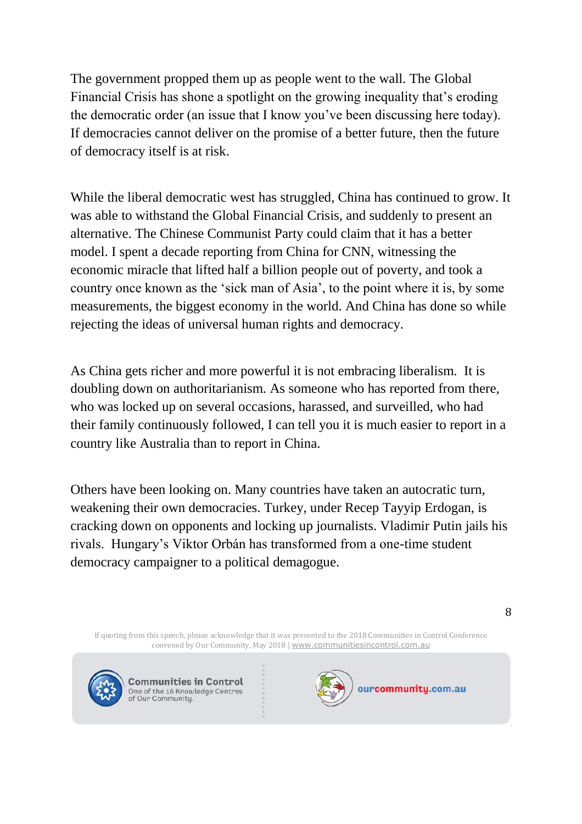The government propped them up as people went to the wall. The Global Financial Crisis has shone a spotlight on the growing inequality that's eroding the democratic order (an issue that I know you've been discussing here today). If democracies cannot deliver on the promise of a better future, then the future of democracy itself is at risk.

While the liberal democratic west has struggled, China has continued to grow. It was able to withstand the Global Financial Crisis, and suddenly to present an alternative. The Chinese Communist Party could claim that it has a better model. I spent a decade reporting from China for CNN, witnessing the economic miracle that lifted half a billion people out of poverty, and took a country once known as the 'sick man of Asia', to the point where it is, by some measurements, the biggest economy in the world. And China has done so while rejecting the ideas of universal human rights and democracy.

As China gets richer and more powerful it is not embracing liberalism. It is doubling down on authoritarianism. As someone who has reported from there, who was locked up on several occasions, harassed, and surveilled, who had their family continuously followed, I can tell you it is much easier to report in a country like Australia than to report in China.

Others have been looking on. Many countries have taken an autocratic turn, weakening their own democracies. Turkey, under Recep Tayyip Erdogan, is cracking down on opponents and locking up journalists. Vladimir Putin jails his rivals. Hungary's Viktor Orbán has transformed from a one-time student democracy campaigner to a political demagogue.

If quoting from this speech, please acknowledge that it was presented to the 2018 Communities in Control Conference convened by Our Community, May 2018 | [www.communitiesincontrol.com.au](https://www.communitiesincontrol.com.au/)



**Communities in Control** One of the 16 Knowledge Centres<br>of Our Community.

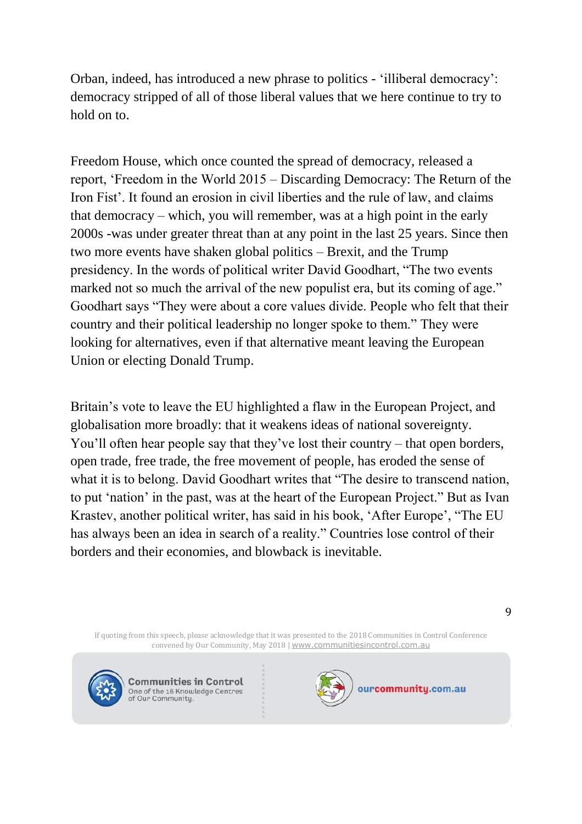Orban, indeed, has introduced a new phrase to politics - 'illiberal democracy': democracy stripped of all of those liberal values that we here continue to try to hold on to.

Freedom House, which once counted the spread of democracy, released a report, 'Freedom in the World 2015 – Discarding Democracy: The Return of the Iron Fist'. It found an erosion in civil liberties and the rule of law, and claims that democracy – which, you will remember, was at a high point in the early 2000s -was under greater threat than at any point in the last 25 years. Since then two more events have shaken global politics – Brexit, and the Trump presidency. In the words of political writer David Goodhart, "The two events marked not so much the arrival of the new populist era, but its coming of age." Goodhart says "They were about a core values divide. People who felt that their country and their political leadership no longer spoke to them." They were looking for alternatives, even if that alternative meant leaving the European Union or electing Donald Trump.

Britain's vote to leave the EU highlighted a flaw in the European Project, and globalisation more broadly: that it weakens ideas of national sovereignty. You'll often hear people say that they've lost their country – that open borders, open trade, free trade, the free movement of people, has eroded the sense of what it is to belong. David Goodhart writes that "The desire to transcend nation, to put 'nation' in the past, was at the heart of the European Project." But as Ivan Krastev, another political writer, has said in his book, 'After Europe', "The EU has always been an idea in search of a reality." Countries lose control of their borders and their economies, and blowback is inevitable.

If quoting from this speech, please acknowledge that it was presented to the 2018 Communities in Control Conference convened by Our Community, May 2018 | [www.communitiesincontrol.com.au](https://www.communitiesincontrol.com.au/)



**Communities in Control** One of the 16 Knowledge Centres<br>of Our Community.

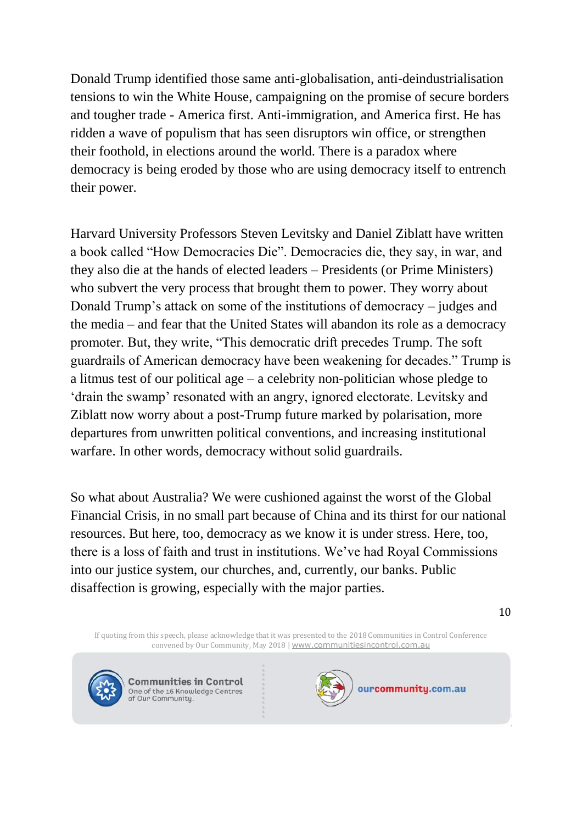Donald Trump identified those same anti-globalisation, anti-deindustrialisation tensions to win the White House, campaigning on the promise of secure borders and tougher trade - America first. Anti-immigration, and America first. He has ridden a wave of populism that has seen disruptors win office, or strengthen their foothold, in elections around the world. There is a paradox where democracy is being eroded by those who are using democracy itself to entrench their power.

Harvard University Professors Steven Levitsky and Daniel Ziblatt have written a book called "How Democracies Die". Democracies die, they say, in war, and they also die at the hands of elected leaders – Presidents (or Prime Ministers) who subvert the very process that brought them to power. They worry about Donald Trump's attack on some of the institutions of democracy – judges and the media – and fear that the United States will abandon its role as a democracy promoter. But, they write, "This democratic drift precedes Trump. The soft guardrails of American democracy have been weakening for decades." Trump is a litmus test of our political age – a celebrity non-politician whose pledge to 'drain the swamp' resonated with an angry, ignored electorate. Levitsky and Ziblatt now worry about a post-Trump future marked by polarisation, more departures from unwritten political conventions, and increasing institutional warfare. In other words, democracy without solid guardrails.

So what about Australia? We were cushioned against the worst of the Global Financial Crisis, in no small part because of China and its thirst for our national resources. But here, too, democracy as we know it is under stress. Here, too, there is a loss of faith and trust in institutions. We've had Royal Commissions into our justice system, our churches, and, currently, our banks. Public disaffection is growing, especially with the major parties.

If quoting from this speech, please acknowledge that it was presented to the 2018 Communities in Control Conference convened by Our Community, May 2018 | [www.communitiesincontrol.com.au](https://www.communitiesincontrol.com.au/)



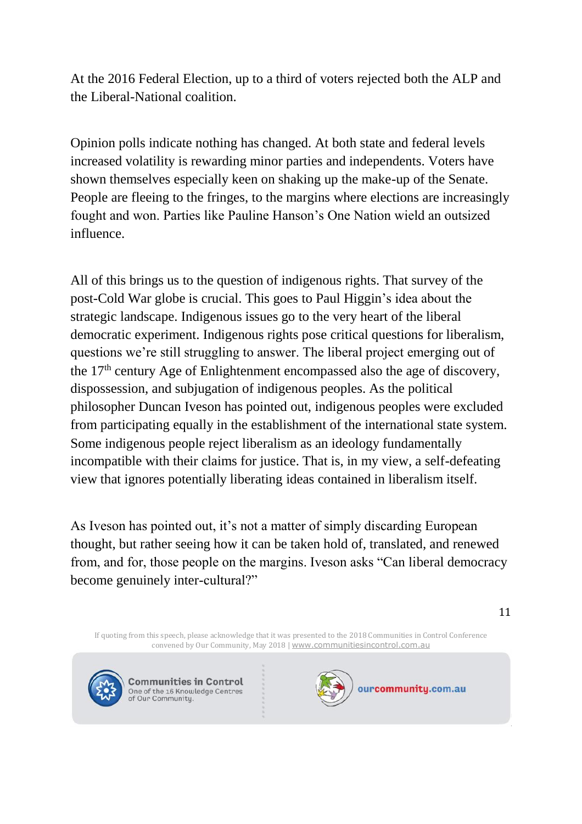At the 2016 Federal Election, up to a third of voters rejected both the ALP and the Liberal-National coalition.

Opinion polls indicate nothing has changed. At both state and federal levels increased volatility is rewarding minor parties and independents. Voters have shown themselves especially keen on shaking up the make-up of the Senate. People are fleeing to the fringes, to the margins where elections are increasingly fought and won. Parties like Pauline Hanson's One Nation wield an outsized influence.

All of this brings us to the question of indigenous rights. That survey of the post-Cold War globe is crucial. This goes to Paul Higgin's idea about the strategic landscape. Indigenous issues go to the very heart of the liberal democratic experiment. Indigenous rights pose critical questions for liberalism, questions we're still struggling to answer. The liberal project emerging out of the 17th century Age of Enlightenment encompassed also the age of discovery, dispossession, and subjugation of indigenous peoples. As the political philosopher Duncan Iveson has pointed out, indigenous peoples were excluded from participating equally in the establishment of the international state system. Some indigenous people reject liberalism as an ideology fundamentally incompatible with their claims for justice. That is, in my view, a self-defeating view that ignores potentially liberating ideas contained in liberalism itself.

As Iveson has pointed out, it's not a matter of simply discarding European thought, but rather seeing how it can be taken hold of, translated, and renewed from, and for, those people on the margins. Iveson asks "Can liberal democracy become genuinely inter-cultural?"

11

If quoting from this speech, please acknowledge that it was presented to the 2018 Communities in Control Conference convened by Our Community, May 2018 | [www.communitiesincontrol.com.au](https://www.communitiesincontrol.com.au/)



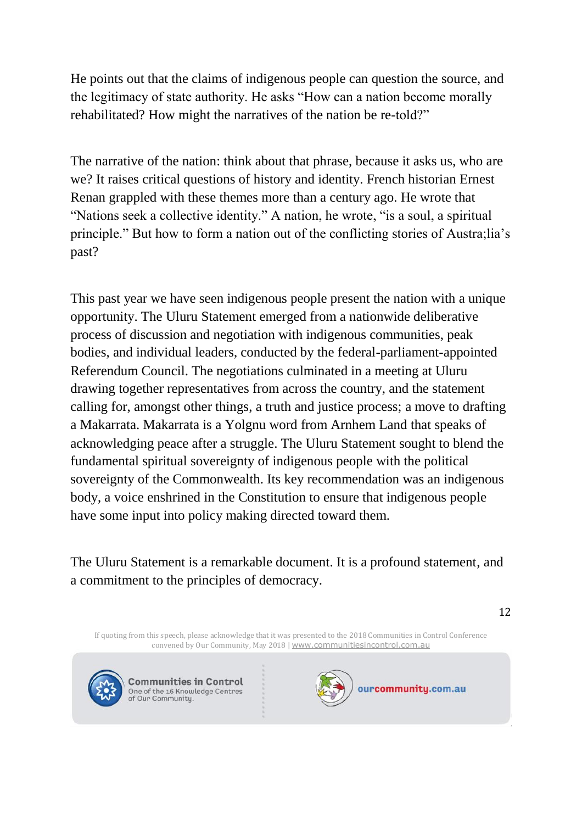He points out that the claims of indigenous people can question the source, and the legitimacy of state authority. He asks "How can a nation become morally rehabilitated? How might the narratives of the nation be re-told?"

The narrative of the nation: think about that phrase, because it asks us, who are we? It raises critical questions of history and identity. French historian Ernest Renan grappled with these themes more than a century ago. He wrote that "Nations seek a collective identity." A nation, he wrote, "is a soul, a spiritual principle." But how to form a nation out of the conflicting stories of Austra;lia's past?

This past year we have seen indigenous people present the nation with a unique opportunity. The Uluru Statement emerged from a nationwide deliberative process of discussion and negotiation with indigenous communities, peak bodies, and individual leaders, conducted by the federal-parliament-appointed Referendum Council. The negotiations culminated in a meeting at Uluru drawing together representatives from across the country, and the statement calling for, amongst other things, a truth and justice process; a move to drafting a Makarrata. Makarrata is a Yolgnu word from Arnhem Land that speaks of acknowledging peace after a struggle. The Uluru Statement sought to blend the fundamental spiritual sovereignty of indigenous people with the political sovereignty of the Commonwealth. Its key recommendation was an indigenous body, a voice enshrined in the Constitution to ensure that indigenous people have some input into policy making directed toward them.

The Uluru Statement is a remarkable document. It is a profound statement, and a commitment to the principles of democracy.

12

If quoting from this speech, please acknowledge that it was presented to the 2018 Communities in Control Conference convened by Our Community, May 2018 | [www.communitiesincontrol.com.au](https://www.communitiesincontrol.com.au/)



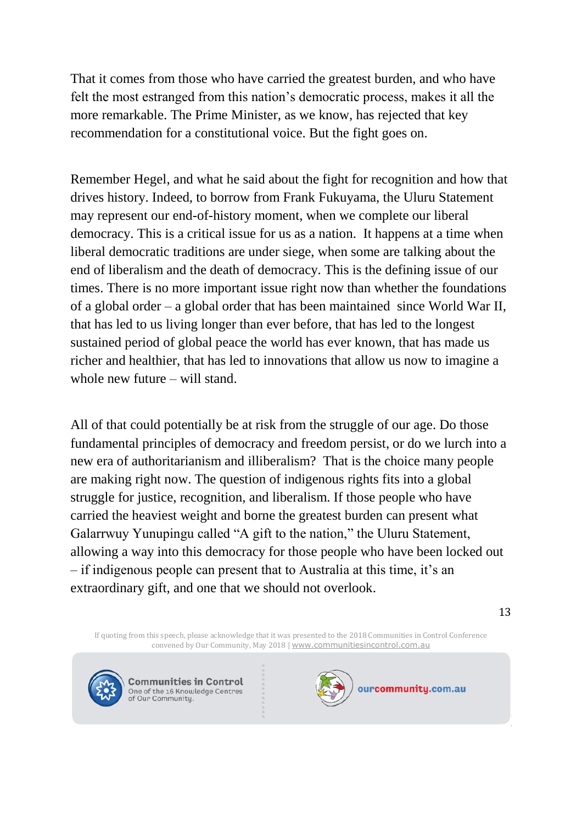That it comes from those who have carried the greatest burden, and who have felt the most estranged from this nation's democratic process, makes it all the more remarkable. The Prime Minister, as we know, has rejected that key recommendation for a constitutional voice. But the fight goes on.

Remember Hegel, and what he said about the fight for recognition and how that drives history. Indeed, to borrow from Frank Fukuyama, the Uluru Statement may represent our end-of-history moment, when we complete our liberal democracy. This is a critical issue for us as a nation. It happens at a time when liberal democratic traditions are under siege, when some are talking about the end of liberalism and the death of democracy. This is the defining issue of our times. There is no more important issue right now than whether the foundations of a global order – a global order that has been maintained since World War II, that has led to us living longer than ever before, that has led to the longest sustained period of global peace the world has ever known, that has made us richer and healthier, that has led to innovations that allow us now to imagine a whole new future – will stand.

All of that could potentially be at risk from the struggle of our age. Do those fundamental principles of democracy and freedom persist, or do we lurch into a new era of authoritarianism and illiberalism? That is the choice many people are making right now. The question of indigenous rights fits into a global struggle for justice, recognition, and liberalism. If those people who have carried the heaviest weight and borne the greatest burden can present what Galarrwuy Yunupingu called "A gift to the nation," the Uluru Statement, allowing a way into this democracy for those people who have been locked out – if indigenous people can present that to Australia at this time, it's an extraordinary gift, and one that we should not overlook.

If quoting from this speech, please acknowledge that it was presented to the 2018 Communities in Control Conference convened by Our Community, May 2018 | [www.communitiesincontrol.com.au](https://www.communitiesincontrol.com.au/)



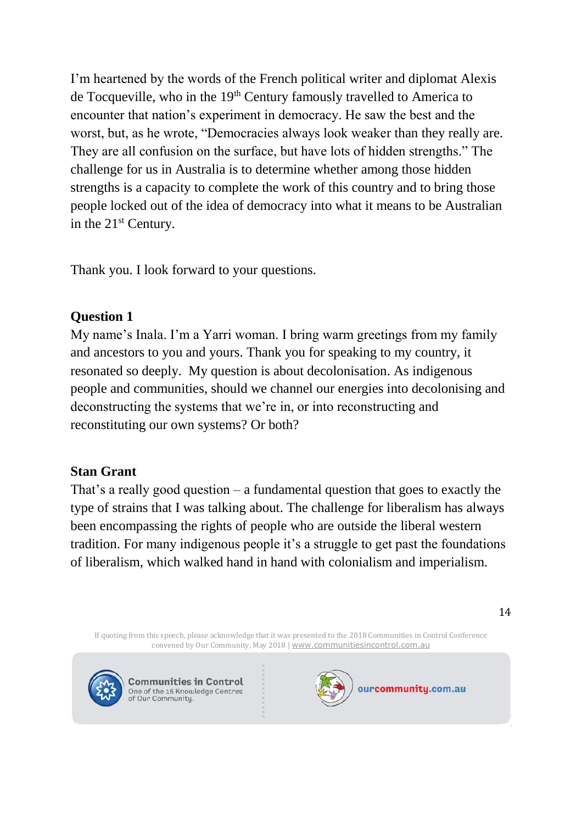I'm heartened by the words of the French political writer and diplomat Alexis de Tocqueville, who in the 19<sup>th</sup> Century famously travelled to America to encounter that nation's experiment in democracy. He saw the best and the worst, but, as he wrote, "Democracies always look weaker than they really are. They are all confusion on the surface, but have lots of hidden strengths." The challenge for us in Australia is to determine whether among those hidden strengths is a capacity to complete the work of this country and to bring those people locked out of the idea of democracy into what it means to be Australian in the 21st Century.

Thank you. I look forward to your questions.

# **Question 1**

My name's Inala. I'm a Yarri woman. I bring warm greetings from my family and ancestors to you and yours. Thank you for speaking to my country, it resonated so deeply. My question is about decolonisation. As indigenous people and communities, should we channel our energies into decolonising and deconstructing the systems that we're in, or into reconstructing and reconstituting our own systems? Or both?

# **Stan Grant**

That's a really good question  $-$  a fundamental question that goes to exactly the type of strains that I was talking about. The challenge for liberalism has always been encompassing the rights of people who are outside the liberal western tradition. For many indigenous people it's a struggle to get past the foundations of liberalism, which walked hand in hand with colonialism and imperialism.

If quoting from this speech, please acknowledge that it was presented to the 2018 Communities in Control Conference convened by Our Community, May 2018 | [www.communitiesincontrol.com.au](https://www.communitiesincontrol.com.au/)



**Communities in Control** One of the 16 Knowledge Centres<br>of Our Community.

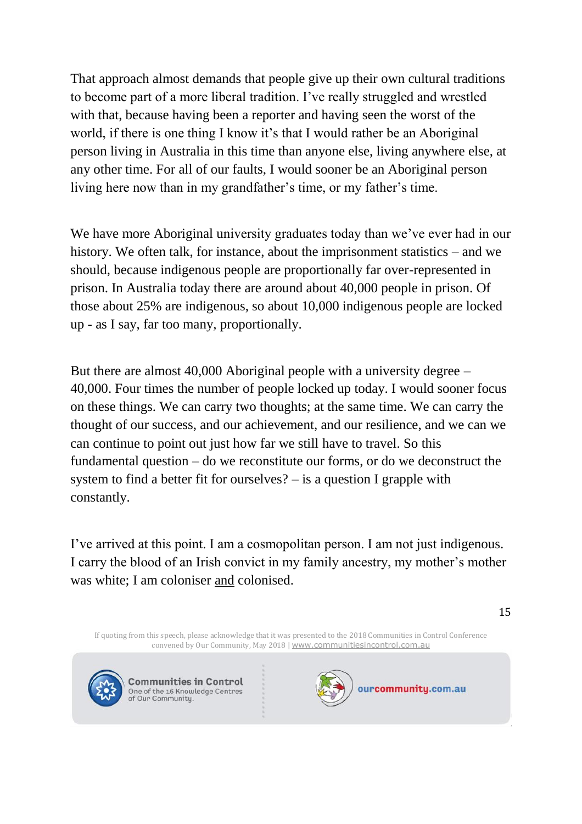That approach almost demands that people give up their own cultural traditions to become part of a more liberal tradition. I've really struggled and wrestled with that, because having been a reporter and having seen the worst of the world, if there is one thing I know it's that I would rather be an Aboriginal person living in Australia in this time than anyone else, living anywhere else, at any other time. For all of our faults, I would sooner be an Aboriginal person living here now than in my grandfather's time, or my father's time.

We have more Aboriginal university graduates today than we've ever had in our history. We often talk, for instance, about the imprisonment statistics – and we should, because indigenous people are proportionally far over-represented in prison. In Australia today there are around about 40,000 people in prison. Of those about 25% are indigenous, so about 10,000 indigenous people are locked up - as I say, far too many, proportionally.

But there are almost 40,000 Aboriginal people with a university degree – 40,000. Four times the number of people locked up today. I would sooner focus on these things. We can carry two thoughts; at the same time. We can carry the thought of our success, and our achievement, and our resilience, and we can we can continue to point out just how far we still have to travel. So this fundamental question – do we reconstitute our forms, or do we deconstruct the system to find a better fit for ourselves? – is a question I grapple with constantly.

I've arrived at this point. I am a cosmopolitan person. I am not just indigenous. I carry the blood of an Irish convict in my family ancestry, my mother's mother was white; I am coloniser and colonised.

If quoting from this speech, please acknowledge that it was presented to the 2018 Communities in Control Conference convened by Our Community, May 2018 | [www.communitiesincontrol.com.au](https://www.communitiesincontrol.com.au/)



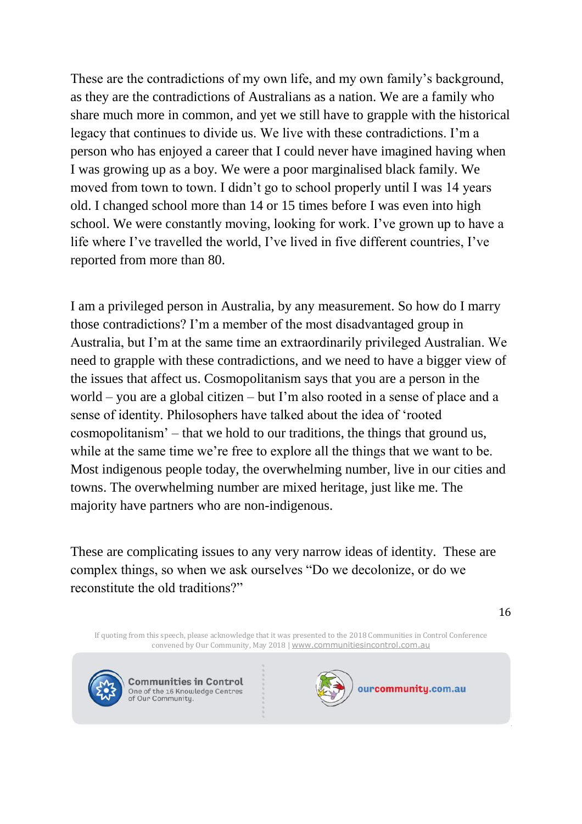These are the contradictions of my own life, and my own family's background, as they are the contradictions of Australians as a nation. We are a family who share much more in common, and yet we still have to grapple with the historical legacy that continues to divide us. We live with these contradictions. I'm a person who has enjoyed a career that I could never have imagined having when I was growing up as a boy. We were a poor marginalised black family. We moved from town to town. I didn't go to school properly until I was 14 years old. I changed school more than 14 or 15 times before I was even into high school. We were constantly moving, looking for work. I've grown up to have a life where I've travelled the world, I've lived in five different countries, I've reported from more than 80.

I am a privileged person in Australia, by any measurement. So how do I marry those contradictions? I'm a member of the most disadvantaged group in Australia, but I'm at the same time an extraordinarily privileged Australian. We need to grapple with these contradictions, and we need to have a bigger view of the issues that affect us. Cosmopolitanism says that you are a person in the world – you are a global citizen – but I'm also rooted in a sense of place and a sense of identity. Philosophers have talked about the idea of 'rooted cosmopolitanism' – that we hold to our traditions, the things that ground us, while at the same time we're free to explore all the things that we want to be. Most indigenous people today, the overwhelming number, live in our cities and towns. The overwhelming number are mixed heritage, just like me. The majority have partners who are non-indigenous.

These are complicating issues to any very narrow ideas of identity. These are complex things, so when we ask ourselves "Do we decolonize, or do we reconstitute the old traditions?"

If quoting from this speech, please acknowledge that it was presented to the 2018 Communities in Control Conference convened by Our Community, May 2018 | [www.communitiesincontrol.com.au](https://www.communitiesincontrol.com.au/)



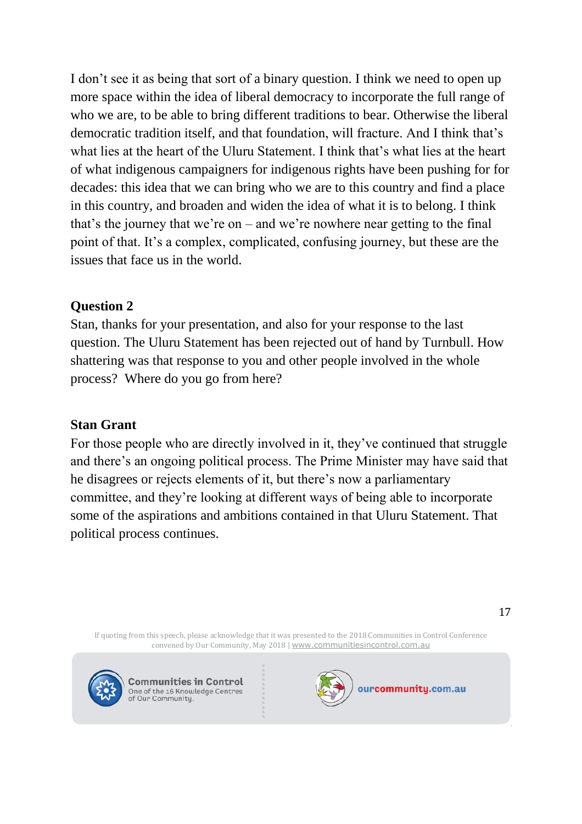I don't see it as being that sort of a binary question. I think we need to open up more space within the idea of liberal democracy to incorporate the full range of who we are, to be able to bring different traditions to bear. Otherwise the liberal democratic tradition itself, and that foundation, will fracture. And I think that's what lies at the heart of the Uluru Statement. I think that's what lies at the heart of what indigenous campaigners for indigenous rights have been pushing for for decades: this idea that we can bring who we are to this country and find a place in this country, and broaden and widen the idea of what it is to belong. I think that's the journey that we're on – and we're nowhere near getting to the final point of that. It's a complex, complicated, confusing journey, but these are the issues that face us in the world.

#### **Question 2**

Stan, thanks for your presentation, and also for your response to the last question. The Uluru Statement has been rejected out of hand by Turnbull. How shattering was that response to you and other people involved in the whole process? Where do you go from here?

#### **Stan Grant**

For those people who are directly involved in it, they've continued that struggle and there's an ongoing political process. The Prime Minister may have said that he disagrees or rejects elements of it, but there's now a parliamentary committee, and they're looking at different ways of being able to incorporate some of the aspirations and ambitions contained in that Uluru Statement. That political process continues.

If quoting from this speech, please acknowledge that it was presented to the 2018 Communities in Control Conference convened by Our Community, May 2018 | [www.communitiesincontrol.com.au](https://www.communitiesincontrol.com.au/)



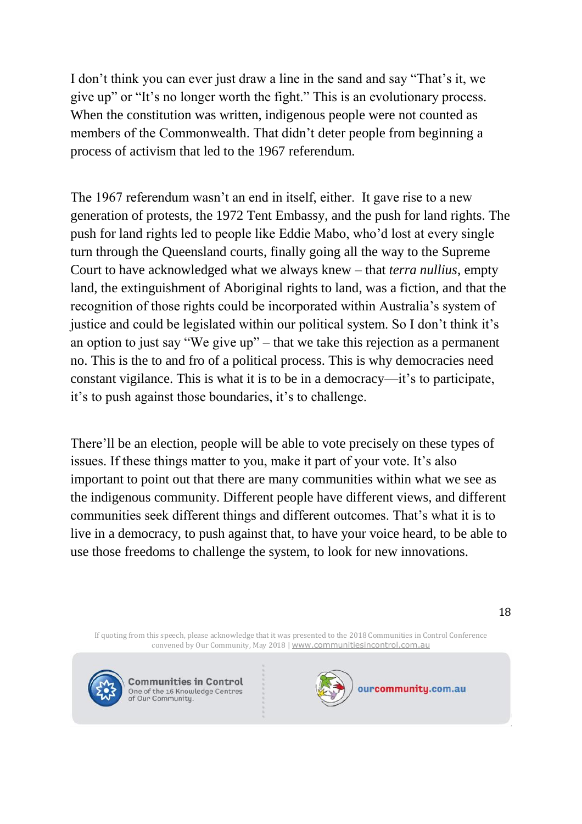I don't think you can ever just draw a line in the sand and say "That's it, we give up" or "It's no longer worth the fight." This is an evolutionary process. When the constitution was written, indigenous people were not counted as members of the Commonwealth. That didn't deter people from beginning a process of activism that led to the 1967 referendum.

The 1967 referendum wasn't an end in itself, either. It gave rise to a new generation of protests, the 1972 Tent Embassy, and the push for land rights. The push for land rights led to people like Eddie Mabo, who'd lost at every single turn through the Queensland courts, finally going all the way to the Supreme Court to have acknowledged what we always knew – that *terra nullius*, empty land, the extinguishment of Aboriginal rights to land, was a fiction, and that the recognition of those rights could be incorporated within Australia's system of justice and could be legislated within our political system. So I don't think it's an option to just say "We give up" – that we take this rejection as a permanent no. This is the to and fro of a political process. This is why democracies need constant vigilance. This is what it is to be in a democracy—it's to participate, it's to push against those boundaries, it's to challenge.

There'll be an election, people will be able to vote precisely on these types of issues. If these things matter to you, make it part of your vote. It's also important to point out that there are many communities within what we see as the indigenous community. Different people have different views, and different communities seek different things and different outcomes. That's what it is to live in a democracy, to push against that, to have your voice heard, to be able to use those freedoms to challenge the system, to look for new innovations.

If quoting from this speech, please acknowledge that it was presented to the 2018 Communities in Control Conference convened by Our Community, May 2018 | [www.communitiesincontrol.com.au](https://www.communitiesincontrol.com.au/)



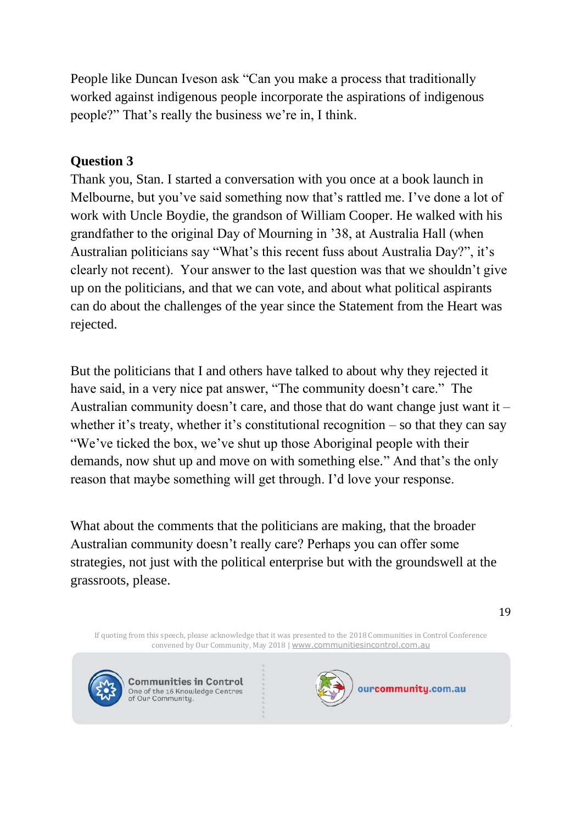People like Duncan Iveson ask "Can you make a process that traditionally worked against indigenous people incorporate the aspirations of indigenous people?" That's really the business we're in, I think.

# **Question 3**

Thank you, Stan. I started a conversation with you once at a book launch in Melbourne, but you've said something now that's rattled me. I've done a lot of work with Uncle Boydie, the grandson of William Cooper. He walked with his grandfather to the original Day of Mourning in '38, at Australia Hall (when Australian politicians say "What's this recent fuss about Australia Day?", it's clearly not recent). Your answer to the last question was that we shouldn't give up on the politicians, and that we can vote, and about what political aspirants can do about the challenges of the year since the Statement from the Heart was rejected.

But the politicians that I and others have talked to about why they rejected it have said, in a very nice pat answer, "The community doesn't care." The Australian community doesn't care, and those that do want change just want it – whether it's treaty, whether it's constitutional recognition  $-$  so that they can say "We've ticked the box, we've shut up those Aboriginal people with their demands, now shut up and move on with something else." And that's the only reason that maybe something will get through. I'd love your response.

What about the comments that the politicians are making, that the broader Australian community doesn't really care? Perhaps you can offer some strategies, not just with the political enterprise but with the groundswell at the grassroots, please.

If quoting from this speech, please acknowledge that it was presented to the 2018 Communities in Control Conference convened by Our Community, May 2018 | [www.communitiesincontrol.com.au](https://www.communitiesincontrol.com.au/)



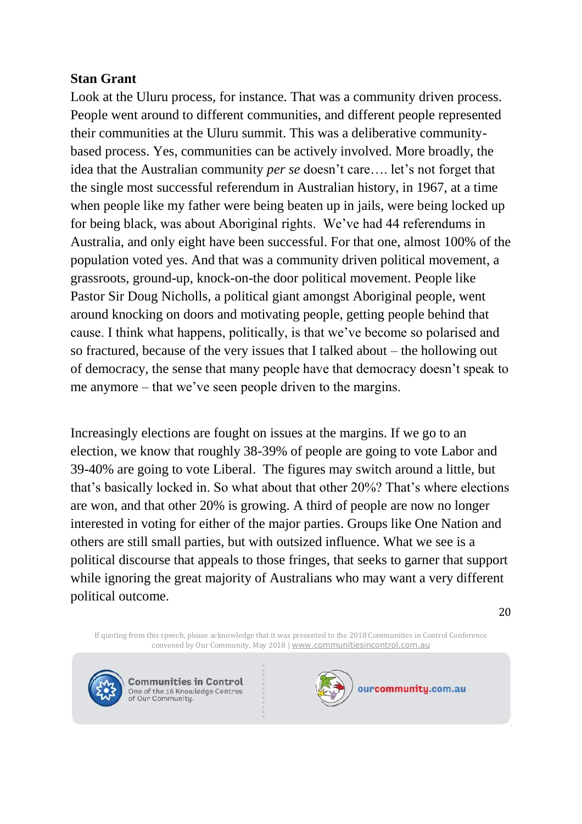## **Stan Grant**

Look at the Uluru process, for instance. That was a community driven process. People went around to different communities, and different people represented their communities at the Uluru summit. This was a deliberative communitybased process. Yes, communities can be actively involved. More broadly, the idea that the Australian community *per se* doesn't care…. let's not forget that the single most successful referendum in Australian history, in 1967, at a time when people like my father were being beaten up in jails, were being locked up for being black, was about Aboriginal rights. We've had 44 referendums in Australia, and only eight have been successful. For that one, almost 100% of the population voted yes. And that was a community driven political movement, a grassroots, ground-up, knock-on-the door political movement. People like Pastor Sir Doug Nicholls, a political giant amongst Aboriginal people, went around knocking on doors and motivating people, getting people behind that cause. I think what happens, politically, is that we've become so polarised and so fractured, because of the very issues that I talked about – the hollowing out of democracy, the sense that many people have that democracy doesn't speak to me anymore – that we've seen people driven to the margins.

Increasingly elections are fought on issues at the margins. If we go to an election, we know that roughly 38-39% of people are going to vote Labor and 39-40% are going to vote Liberal. The figures may switch around a little, but that's basically locked in. So what about that other 20%? That's where elections are won, and that other 20% is growing. A third of people are now no longer interested in voting for either of the major parties. Groups like One Nation and others are still small parties, but with outsized influence. What we see is a political discourse that appeals to those fringes, that seeks to garner that support while ignoring the great majority of Australians who may want a very different political outcome.

20

If quoting from this speech, please acknowledge that it was presented to the 2018 Communities in Control Conference convened by Our Community, May 2018 | [www.communitiesincontrol.com.au](https://www.communitiesincontrol.com.au/)



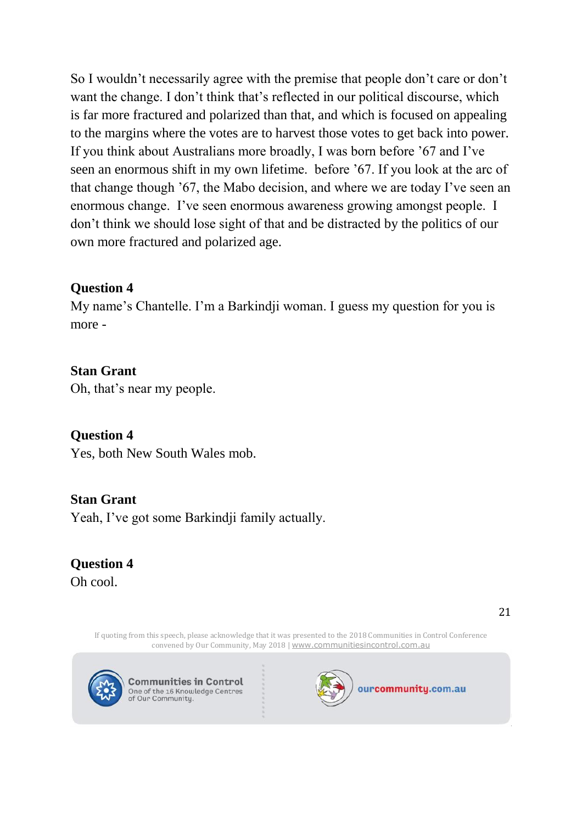So I wouldn't necessarily agree with the premise that people don't care or don't want the change. I don't think that's reflected in our political discourse, which is far more fractured and polarized than that, and which is focused on appealing to the margins where the votes are to harvest those votes to get back into power. If you think about Australians more broadly, I was born before '67 and I've seen an enormous shift in my own lifetime. before '67. If you look at the arc of that change though '67, the Mabo decision, and where we are today I've seen an enormous change. I've seen enormous awareness growing amongst people. I don't think we should lose sight of that and be distracted by the politics of our own more fractured and polarized age.

# **Question 4**

My name's Chantelle. I'm a Barkindji woman. I guess my question for you is more -

# **Stan Grant**

Oh, that's near my people.

# **Question 4**

Yes, both New South Wales mob.

#### **Stan Grant**

Yeah, I've got some Barkindji family actually.

#### **Question 4** Oh cool.

If quoting from this speech, please acknowledge that it was presented to the 2018 Communities in Control Conference convened by Our Community, May 2018 | [www.communitiesincontrol.com.au](https://www.communitiesincontrol.com.au/)



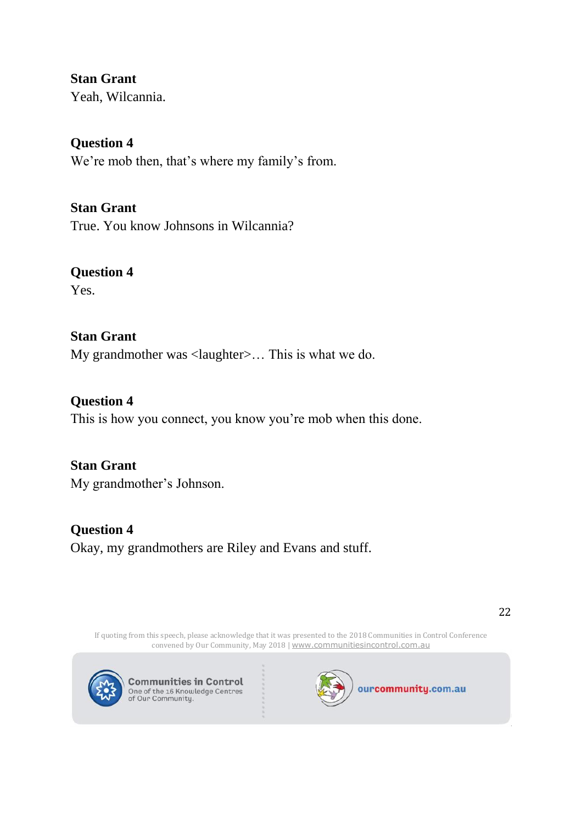**Stan Grant** Yeah, Wilcannia.

**Question 4** We're mob then, that's where my family's from.

**Stan Grant** True. You know Johnsons in Wilcannia?

**Question 4** Yes.

**Stan Grant** My grandmother was <laughter>... This is what we do.

**Question 4** This is how you connect, you know you're mob when this done.

**Stan Grant** My grandmother's Johnson.

**Question 4** Okay, my grandmothers are Riley and Evans and stuff.

If quoting from this speech, please acknowledge that it was presented to the 2018 Communities in Control Conference convened by Our Community, May 2018 | [www.communitiesincontrol.com.au](https://www.communitiesincontrol.com.au/)



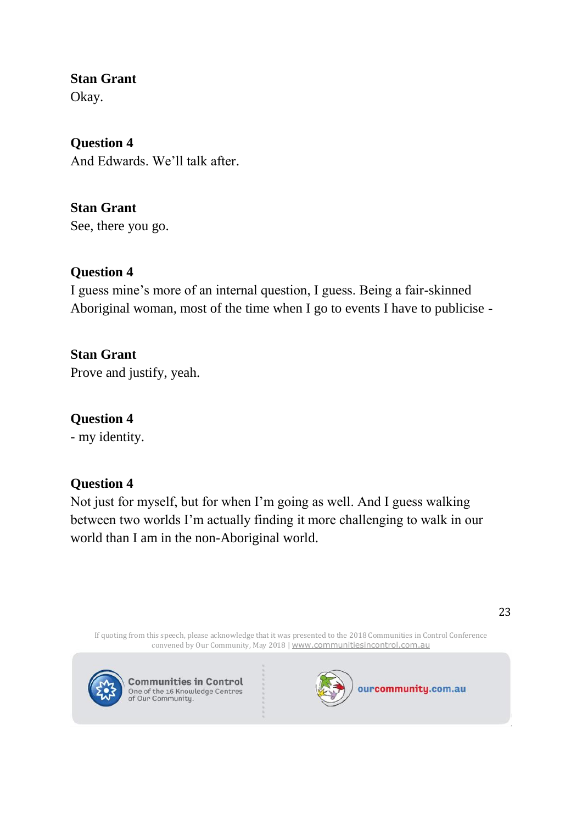**Stan Grant**

Okay.

**Question 4** And Edwards. We'll talk after.

**Stan Grant** See, there you go.

# **Question 4**

I guess mine's more of an internal question, I guess. Being a fair-skinned Aboriginal woman, most of the time when I go to events I have to publicise -

**Stan Grant** Prove and justify, yeah.

# **Question 4**

- my identity.

# **Question 4**

Not just for myself, but for when I'm going as well. And I guess walking between two worlds I'm actually finding it more challenging to walk in our world than I am in the non-Aboriginal world.

If quoting from this speech, please acknowledge that it was presented to the 2018 Communities in Control Conference convened by Our Community, May 2018 | [www.communitiesincontrol.com.au](https://www.communitiesincontrol.com.au/)



**Communities in Control** One of the 16 Knowledge Centres<br>of Our Community.

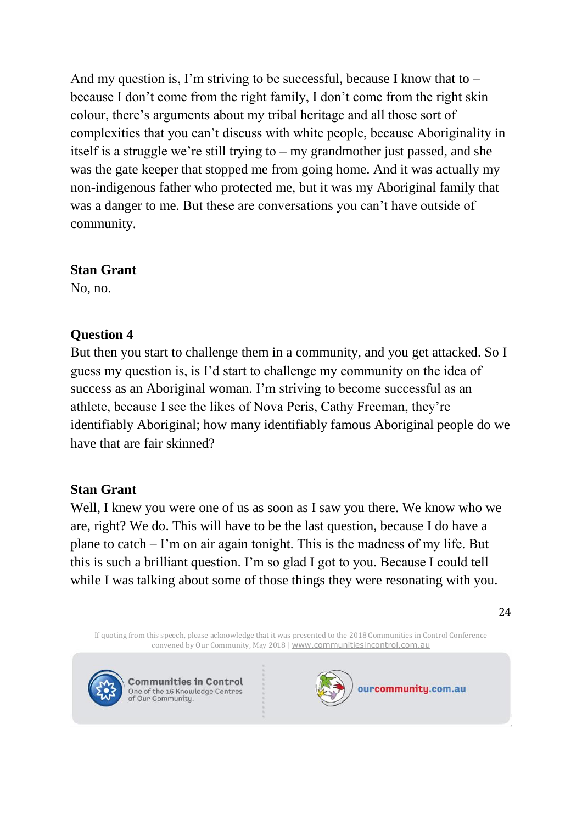And my question is, I'm striving to be successful, because I know that to  $$ because I don't come from the right family, I don't come from the right skin colour, there's arguments about my tribal heritage and all those sort of complexities that you can't discuss with white people, because Aboriginality in itself is a struggle we're still trying to – my grandmother just passed, and she was the gate keeper that stopped me from going home. And it was actually my non-indigenous father who protected me, but it was my Aboriginal family that was a danger to me. But these are conversations you can't have outside of community.

## **Stan Grant**

No, no.

# **Question 4**

But then you start to challenge them in a community, and you get attacked. So I guess my question is, is I'd start to challenge my community on the idea of success as an Aboriginal woman. I'm striving to become successful as an athlete, because I see the likes of Nova Peris, Cathy Freeman, they're identifiably Aboriginal; how many identifiably famous Aboriginal people do we have that are fair skinned?

# **Stan Grant**

Well, I knew you were one of us as soon as I saw you there. We know who we are, right? We do. This will have to be the last question, because I do have a plane to catch – I'm on air again tonight. This is the madness of my life. But this is such a brilliant question. I'm so glad I got to you. Because I could tell while I was talking about some of those things they were resonating with you.

If quoting from this speech, please acknowledge that it was presented to the 2018 Communities in Control Conference convened by Our Community, May 2018 | [www.communitiesincontrol.com.au](https://www.communitiesincontrol.com.au/)



**Communities in Control** One of the 16 Knowledge Centres<br>of Our Community.

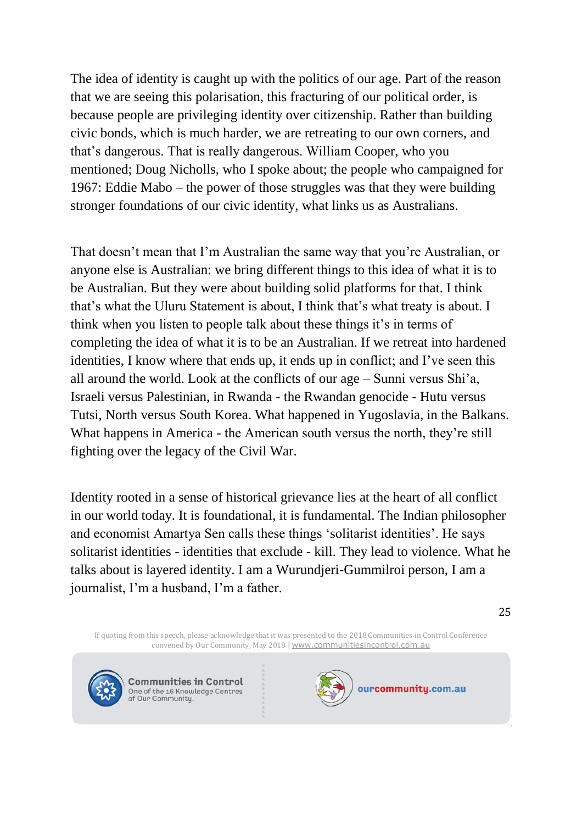The idea of identity is caught up with the politics of our age. Part of the reason that we are seeing this polarisation, this fracturing of our political order, is because people are privileging identity over citizenship. Rather than building civic bonds, which is much harder, we are retreating to our own corners, and that's dangerous. That is really dangerous. William Cooper, who you mentioned; Doug Nicholls, who I spoke about; the people who campaigned for 1967: Eddie Mabo – the power of those struggles was that they were building stronger foundations of our civic identity, what links us as Australians.

That doesn't mean that I'm Australian the same way that you're Australian, or anyone else is Australian: we bring different things to this idea of what it is to be Australian. But they were about building solid platforms for that. I think that's what the Uluru Statement is about, I think that's what treaty is about. I think when you listen to people talk about these things it's in terms of completing the idea of what it is to be an Australian. If we retreat into hardened identities, I know where that ends up, it ends up in conflict; and I've seen this all around the world. Look at the conflicts of our age – Sunni versus Shi'a, Israeli versus Palestinian, in Rwanda - the Rwandan genocide - Hutu versus Tutsi, North versus South Korea. What happened in Yugoslavia, in the Balkans. What happens in America - the American south versus the north, they're still fighting over the legacy of the Civil War.

Identity rooted in a sense of historical grievance lies at the heart of all conflict in our world today. It is foundational, it is fundamental. The Indian philosopher and economist Amartya Sen calls these things 'solitarist identities'. He says solitarist identities - identities that exclude - kill. They lead to violence. What he talks about is layered identity. I am a Wurundjeri-Gummilroi person, I am a journalist, I'm a husband, I'm a father.

25

If quoting from this speech, please acknowledge that it was presented to the 2018 Communities in Control Conference convened by Our Community, May 2018 | [www.communitiesincontrol.com.au](https://www.communitiesincontrol.com.au/)



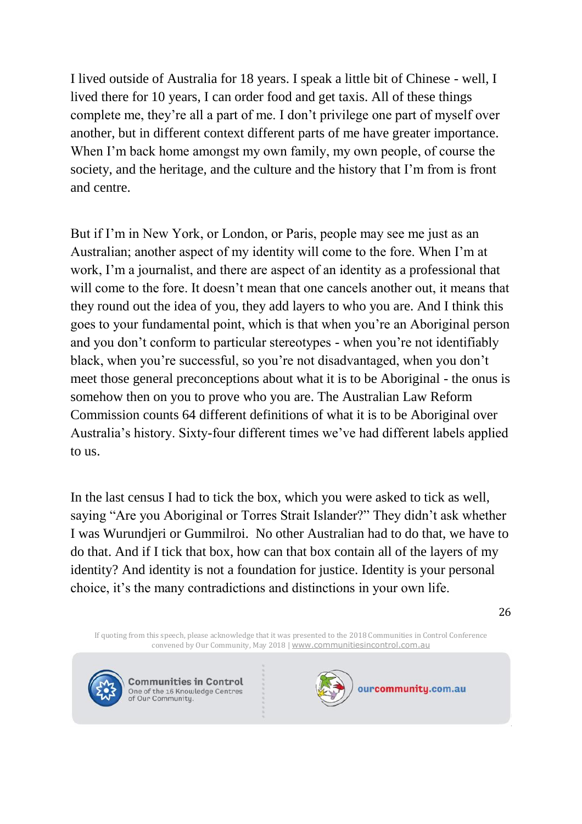I lived outside of Australia for 18 years. I speak a little bit of Chinese - well, I lived there for 10 years, I can order food and get taxis. All of these things complete me, they're all a part of me. I don't privilege one part of myself over another, but in different context different parts of me have greater importance. When I'm back home amongst my own family, my own people, of course the society, and the heritage, and the culture and the history that I'm from is front and centre.

But if I'm in New York, or London, or Paris, people may see me just as an Australian; another aspect of my identity will come to the fore. When I'm at work, I'm a journalist, and there are aspect of an identity as a professional that will come to the fore. It doesn't mean that one cancels another out, it means that they round out the idea of you, they add layers to who you are. And I think this goes to your fundamental point, which is that when you're an Aboriginal person and you don't conform to particular stereotypes - when you're not identifiably black, when you're successful, so you're not disadvantaged, when you don't meet those general preconceptions about what it is to be Aboriginal - the onus is somehow then on you to prove who you are. The Australian Law Reform Commission counts 64 different definitions of what it is to be Aboriginal over Australia's history. Sixty-four different times we've had different labels applied to us.

In the last census I had to tick the box, which you were asked to tick as well, saying "Are you Aboriginal or Torres Strait Islander?" They didn't ask whether I was Wurundjeri or Gummilroi. No other Australian had to do that, we have to do that. And if I tick that box, how can that box contain all of the layers of my identity? And identity is not a foundation for justice. Identity is your personal choice, it's the many contradictions and distinctions in your own life.

26

If quoting from this speech, please acknowledge that it was presented to the 2018 Communities in Control Conference convened by Our Community, May 2018 | [www.communitiesincontrol.com.au](https://www.communitiesincontrol.com.au/)



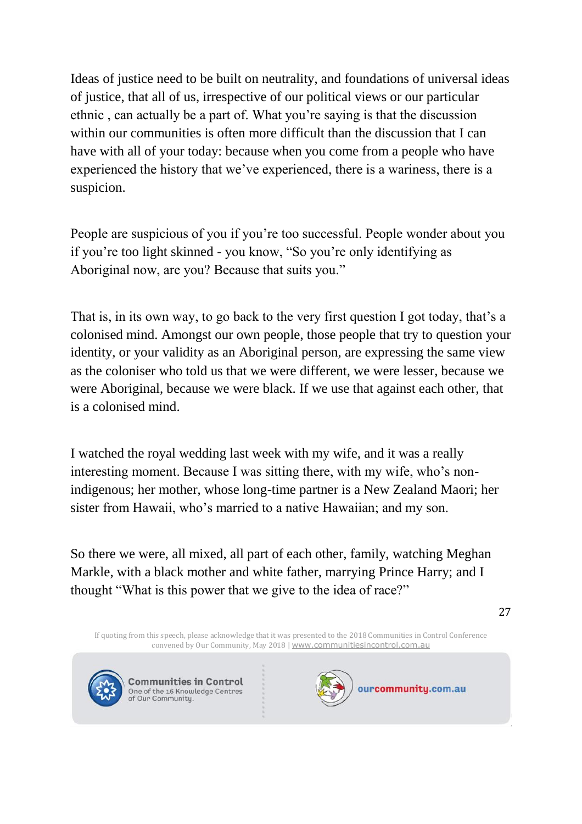Ideas of justice need to be built on neutrality, and foundations of universal ideas of justice, that all of us, irrespective of our political views or our particular ethnic , can actually be a part of. What you're saying is that the discussion within our communities is often more difficult than the discussion that I can have with all of your today: because when you come from a people who have experienced the history that we've experienced, there is a wariness, there is a suspicion.

People are suspicious of you if you're too successful. People wonder about you if you're too light skinned - you know, "So you're only identifying as Aboriginal now, are you? Because that suits you."

That is, in its own way, to go back to the very first question I got today, that's a colonised mind. Amongst our own people, those people that try to question your identity, or your validity as an Aboriginal person, are expressing the same view as the coloniser who told us that we were different, we were lesser, because we were Aboriginal, because we were black. If we use that against each other, that is a colonised mind.

I watched the royal wedding last week with my wife, and it was a really interesting moment. Because I was sitting there, with my wife, who's nonindigenous; her mother, whose long-time partner is a New Zealand Maori; her sister from Hawaii, who's married to a native Hawaiian; and my son.

So there we were, all mixed, all part of each other, family, watching Meghan Markle, with a black mother and white father, marrying Prince Harry; and I thought "What is this power that we give to the idea of race?"

If quoting from this speech, please acknowledge that it was presented to the 2018 Communities in Control Conference convened by Our Community, May 2018 | [www.communitiesincontrol.com.au](https://www.communitiesincontrol.com.au/)



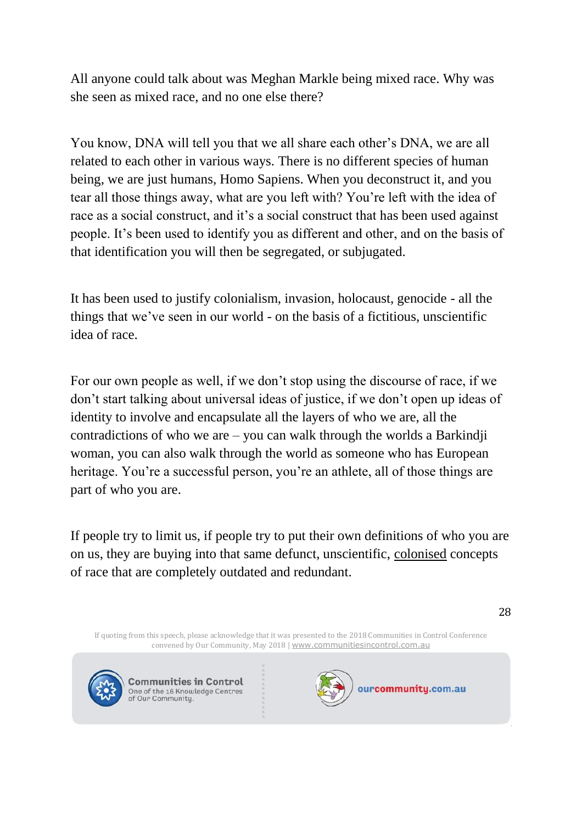All anyone could talk about was Meghan Markle being mixed race. Why was she seen as mixed race, and no one else there?

You know, DNA will tell you that we all share each other's DNA, we are all related to each other in various ways. There is no different species of human being, we are just humans, Homo Sapiens. When you deconstruct it, and you tear all those things away, what are you left with? You're left with the idea of race as a social construct, and it's a social construct that has been used against people. It's been used to identify you as different and other, and on the basis of that identification you will then be segregated, or subjugated.

It has been used to justify colonialism, invasion, holocaust, genocide - all the things that we've seen in our world - on the basis of a fictitious, unscientific idea of race.

For our own people as well, if we don't stop using the discourse of race, if we don't start talking about universal ideas of justice, if we don't open up ideas of identity to involve and encapsulate all the layers of who we are, all the contradictions of who we are  $-$  you can walk through the worlds a Barkindji woman, you can also walk through the world as someone who has European heritage. You're a successful person, you're an athlete, all of those things are part of who you are.

If people try to limit us, if people try to put their own definitions of who you are on us, they are buying into that same defunct, unscientific, colonised concepts of race that are completely outdated and redundant.

If quoting from this speech, please acknowledge that it was presented to the 2018 Communities in Control Conference convened by Our Community, May 2018 | [www.communitiesincontrol.com.au](https://www.communitiesincontrol.com.au/)